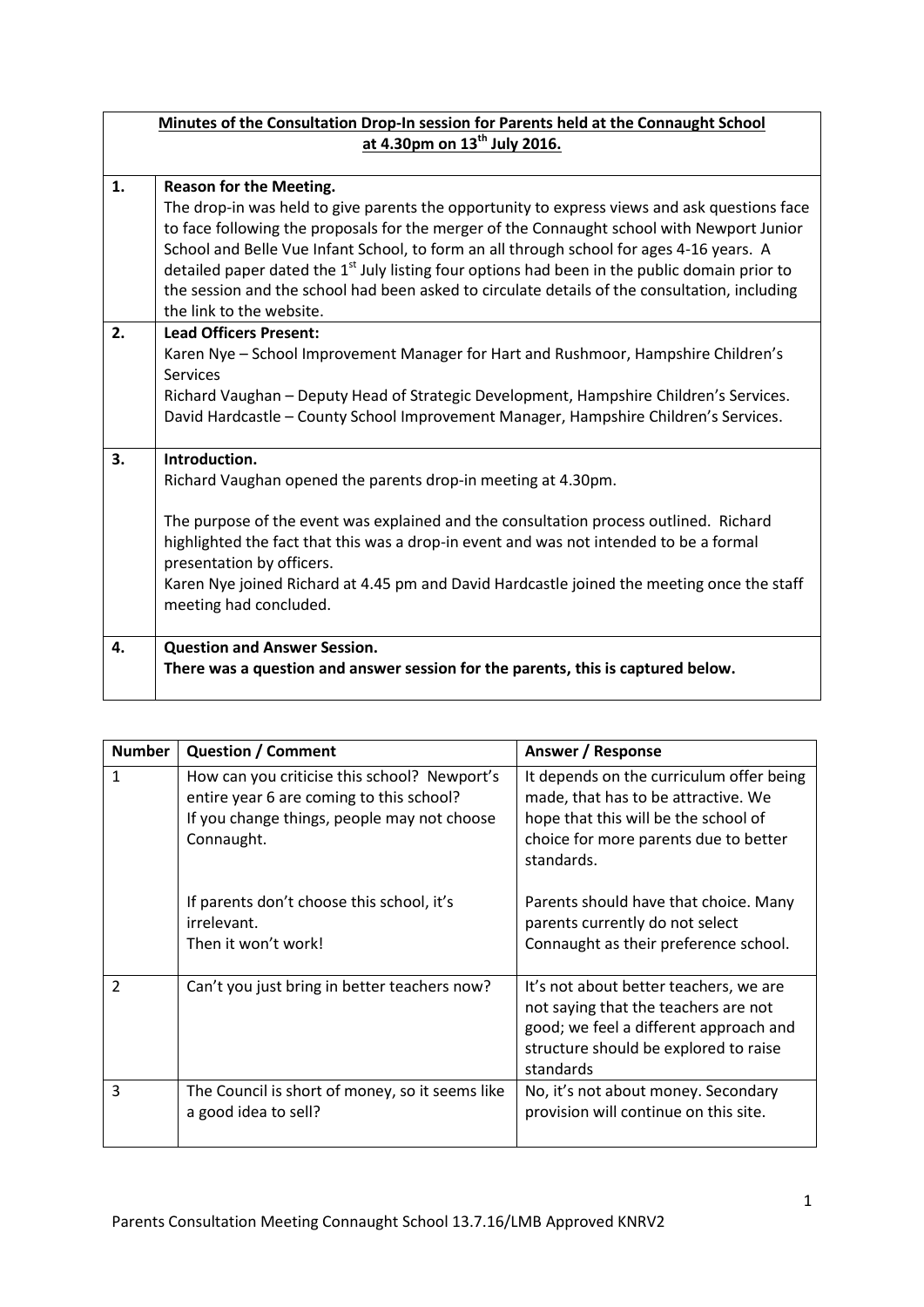|    | Minutes of the Consultation Drop-In session for Parents held at the Connaught School                                                                                                                  |  |  |
|----|-------------------------------------------------------------------------------------------------------------------------------------------------------------------------------------------------------|--|--|
|    | at 4.30pm on $13th$ July 2016.                                                                                                                                                                        |  |  |
|    |                                                                                                                                                                                                       |  |  |
| 1. | <b>Reason for the Meeting.</b><br>The drop-in was held to give parents the opportunity to express views and ask questions face                                                                        |  |  |
|    | to face following the proposals for the merger of the Connaught school with Newport Junior                                                                                                            |  |  |
|    | School and Belle Vue Infant School, to form an all through school for ages 4-16 years. A<br>detailed paper dated the 1 <sup>st</sup> July listing four options had been in the public domain prior to |  |  |
|    | the session and the school had been asked to circulate details of the consultation, including                                                                                                         |  |  |
|    | the link to the website.                                                                                                                                                                              |  |  |
| 2. | <b>Lead Officers Present:</b>                                                                                                                                                                         |  |  |
|    | Karen Nye - School Improvement Manager for Hart and Rushmoor, Hampshire Children's                                                                                                                    |  |  |
|    | <b>Services</b>                                                                                                                                                                                       |  |  |
|    | Richard Vaughan - Deputy Head of Strategic Development, Hampshire Children's Services.                                                                                                                |  |  |
|    | David Hardcastle - County School Improvement Manager, Hampshire Children's Services.                                                                                                                  |  |  |
| 3. | Introduction.                                                                                                                                                                                         |  |  |
|    | Richard Vaughan opened the parents drop-in meeting at 4.30pm.                                                                                                                                         |  |  |
|    | The purpose of the event was explained and the consultation process outlined. Richard                                                                                                                 |  |  |
|    | highlighted the fact that this was a drop-in event and was not intended to be a formal                                                                                                                |  |  |
|    | presentation by officers.                                                                                                                                                                             |  |  |
|    | Karen Nye joined Richard at 4.45 pm and David Hardcastle joined the meeting once the staff                                                                                                            |  |  |
|    | meeting had concluded.                                                                                                                                                                                |  |  |
| 4. | <b>Question and Answer Session.</b>                                                                                                                                                                   |  |  |
|    | There was a question and answer session for the parents, this is captured below.                                                                                                                      |  |  |
|    |                                                                                                                                                                                                       |  |  |

| <b>Number</b>  | <b>Question / Comment</b>                                                                                                                             | Answer / Response                                                                                                                                                              |
|----------------|-------------------------------------------------------------------------------------------------------------------------------------------------------|--------------------------------------------------------------------------------------------------------------------------------------------------------------------------------|
| 1              | How can you criticise this school? Newport's<br>entire year 6 are coming to this school?<br>If you change things, people may not choose<br>Connaught. | It depends on the curriculum offer being<br>made, that has to be attractive. We<br>hope that this will be the school of<br>choice for more parents due to better<br>standards. |
|                | If parents don't choose this school, it's<br>irrelevant.<br>Then it won't work!                                                                       | Parents should have that choice. Many<br>parents currently do not select<br>Connaught as their preference school.                                                              |
| $\mathfrak{p}$ | Can't you just bring in better teachers now?                                                                                                          | It's not about better teachers, we are<br>not saying that the teachers are not<br>good; we feel a different approach and<br>structure should be explored to raise<br>standards |
| 3              | The Council is short of money, so it seems like<br>a good idea to sell?                                                                               | No, it's not about money. Secondary<br>provision will continue on this site.                                                                                                   |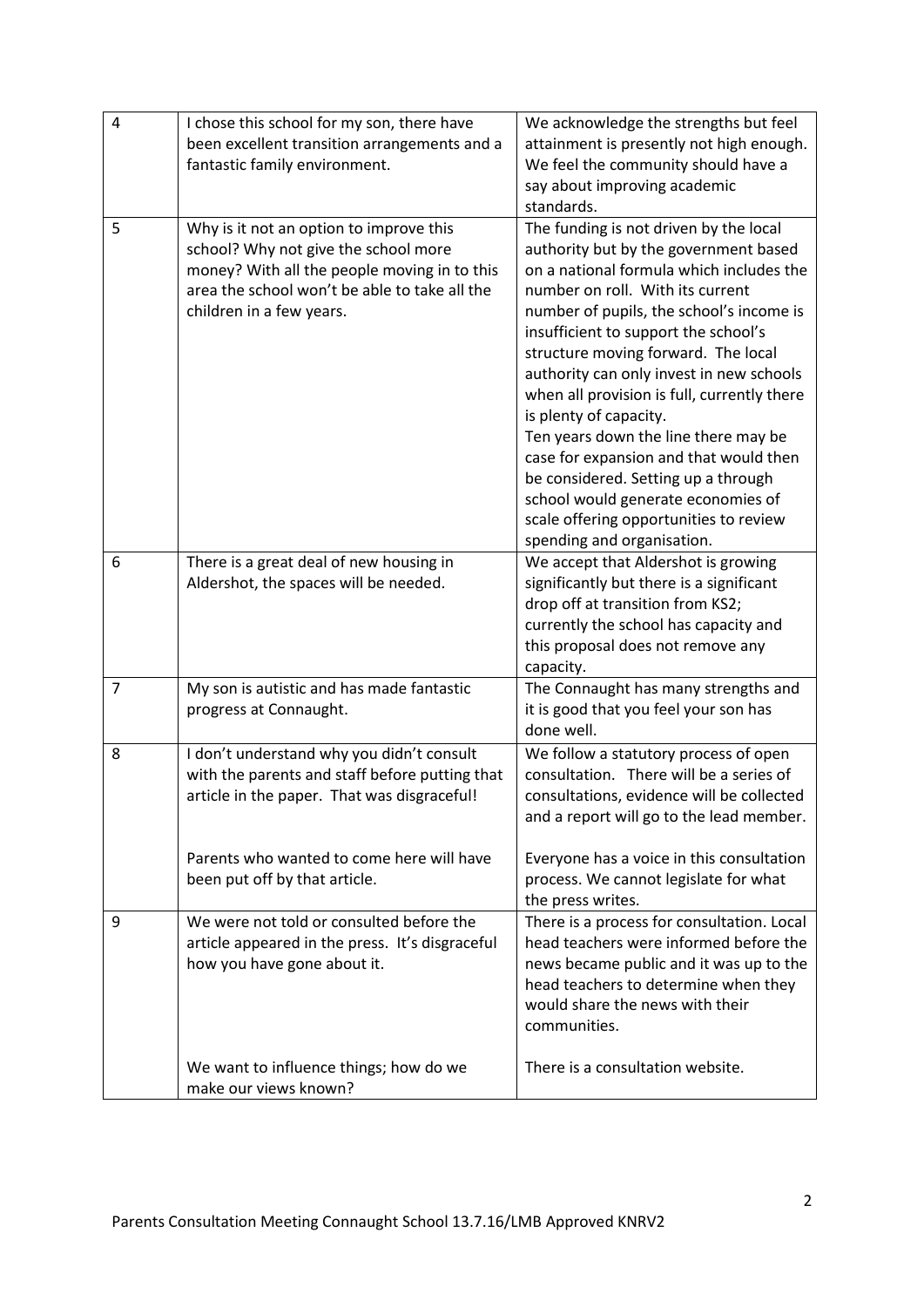| $\overline{4}$ | I chose this school for my son, there have                          | We acknowledge the strengths but feel                                                 |
|----------------|---------------------------------------------------------------------|---------------------------------------------------------------------------------------|
|                | been excellent transition arrangements and a                        | attainment is presently not high enough.                                              |
|                | fantastic family environment.                                       | We feel the community should have a                                                   |
|                |                                                                     | say about improving academic                                                          |
|                |                                                                     | standards.                                                                            |
| 5              | Why is it not an option to improve this                             | The funding is not driven by the local                                                |
|                | school? Why not give the school more                                | authority but by the government based                                                 |
|                | money? With all the people moving in to this                        | on a national formula which includes the                                              |
|                | area the school won't be able to take all the                       | number on roll. With its current                                                      |
|                | children in a few years.                                            | number of pupils, the school's income is                                              |
|                |                                                                     | insufficient to support the school's                                                  |
|                |                                                                     | structure moving forward. The local                                                   |
|                |                                                                     | authority can only invest in new schools                                              |
|                |                                                                     | when all provision is full, currently there                                           |
|                |                                                                     | is plenty of capacity.                                                                |
|                |                                                                     | Ten years down the line there may be                                                  |
|                |                                                                     | case for expansion and that would then                                                |
|                |                                                                     | be considered. Setting up a through                                                   |
|                |                                                                     | school would generate economies of                                                    |
|                |                                                                     | scale offering opportunities to review                                                |
|                |                                                                     | spending and organisation.                                                            |
| 6              | There is a great deal of new housing in                             | We accept that Aldershot is growing                                                   |
|                | Aldershot, the spaces will be needed.                               | significantly but there is a significant                                              |
|                |                                                                     | drop off at transition from KS2;                                                      |
|                |                                                                     | currently the school has capacity and                                                 |
|                |                                                                     | this proposal does not remove any                                                     |
| $\overline{7}$ |                                                                     | capacity.                                                                             |
|                | My son is autistic and has made fantastic<br>progress at Connaught. | The Connaught has many strengths and                                                  |
|                |                                                                     | it is good that you feel your son has<br>done well.                                   |
|                |                                                                     |                                                                                       |
| 8              | I don't understand why you didn't consult                           | We follow a statutory process of open<br>consultation. There will be a series of      |
|                | with the parents and staff before putting that                      |                                                                                       |
|                | article in the paper. That was disgraceful!                         | consultations, evidence will be collected<br>and a report will go to the lead member. |
|                |                                                                     |                                                                                       |
|                | Parents who wanted to come here will have                           | Everyone has a voice in this consultation                                             |
|                | been put off by that article.                                       | process. We cannot legislate for what                                                 |
|                |                                                                     | the press writes.                                                                     |
| 9              | We were not told or consulted before the                            | There is a process for consultation. Local                                            |
|                | article appeared in the press. It's disgraceful                     | head teachers were informed before the                                                |
|                | how you have gone about it.                                         | news became public and it was up to the                                               |
|                |                                                                     | head teachers to determine when they                                                  |
|                |                                                                     | would share the news with their                                                       |
|                |                                                                     | communities.                                                                          |
|                |                                                                     |                                                                                       |
|                | We want to influence things; how do we                              | There is a consultation website.                                                      |
|                | make our views known?                                               |                                                                                       |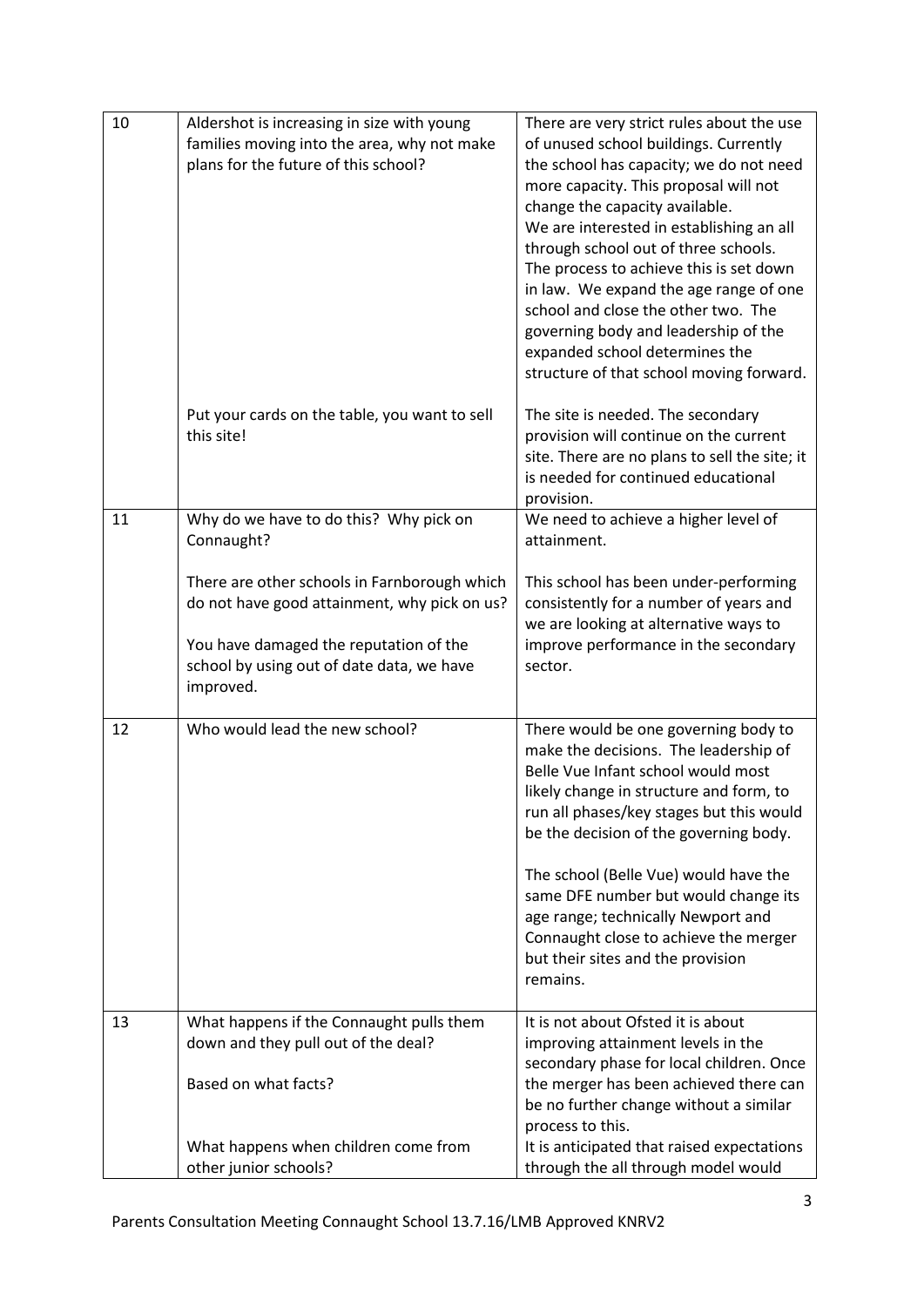| 10 | Aldershot is increasing in size with young<br>families moving into the area, why not make<br>plans for the future of this school?                                                                | There are very strict rules about the use<br>of unused school buildings. Currently<br>the school has capacity; we do not need<br>more capacity. This proposal will not<br>change the capacity available.<br>We are interested in establishing an all<br>through school out of three schools.<br>The process to achieve this is set down                                                                                                                   |
|----|--------------------------------------------------------------------------------------------------------------------------------------------------------------------------------------------------|-----------------------------------------------------------------------------------------------------------------------------------------------------------------------------------------------------------------------------------------------------------------------------------------------------------------------------------------------------------------------------------------------------------------------------------------------------------|
|    |                                                                                                                                                                                                  | in law. We expand the age range of one<br>school and close the other two. The<br>governing body and leadership of the<br>expanded school determines the<br>structure of that school moving forward.                                                                                                                                                                                                                                                       |
|    | Put your cards on the table, you want to sell<br>this site!                                                                                                                                      | The site is needed. The secondary<br>provision will continue on the current<br>site. There are no plans to sell the site; it<br>is needed for continued educational<br>provision.                                                                                                                                                                                                                                                                         |
| 11 | Why do we have to do this? Why pick on<br>Connaught?                                                                                                                                             | We need to achieve a higher level of<br>attainment.                                                                                                                                                                                                                                                                                                                                                                                                       |
|    | There are other schools in Farnborough which<br>do not have good attainment, why pick on us?<br>You have damaged the reputation of the<br>school by using out of date data, we have<br>improved. | This school has been under-performing<br>consistently for a number of years and<br>we are looking at alternative ways to<br>improve performance in the secondary<br>sector.                                                                                                                                                                                                                                                                               |
| 12 | Who would lead the new school?                                                                                                                                                                   | There would be one governing body to<br>make the decisions. The leadership of<br>Belle Vue Infant school would most<br>likely change in structure and form, to<br>run all phases/key stages but this would<br>be the decision of the governing body.<br>The school (Belle Vue) would have the<br>same DFE number but would change its<br>age range; technically Newport and<br>Connaught close to achieve the merger<br>but their sites and the provision |
|    |                                                                                                                                                                                                  | remains.                                                                                                                                                                                                                                                                                                                                                                                                                                                  |
| 13 | What happens if the Connaught pulls them<br>down and they pull out of the deal?<br>Based on what facts?                                                                                          | It is not about Ofsted it is about<br>improving attainment levels in the<br>secondary phase for local children. Once<br>the merger has been achieved there can                                                                                                                                                                                                                                                                                            |
|    | What happens when children come from<br>other junior schools?                                                                                                                                    | be no further change without a similar<br>process to this.<br>It is anticipated that raised expectations<br>through the all through model would                                                                                                                                                                                                                                                                                                           |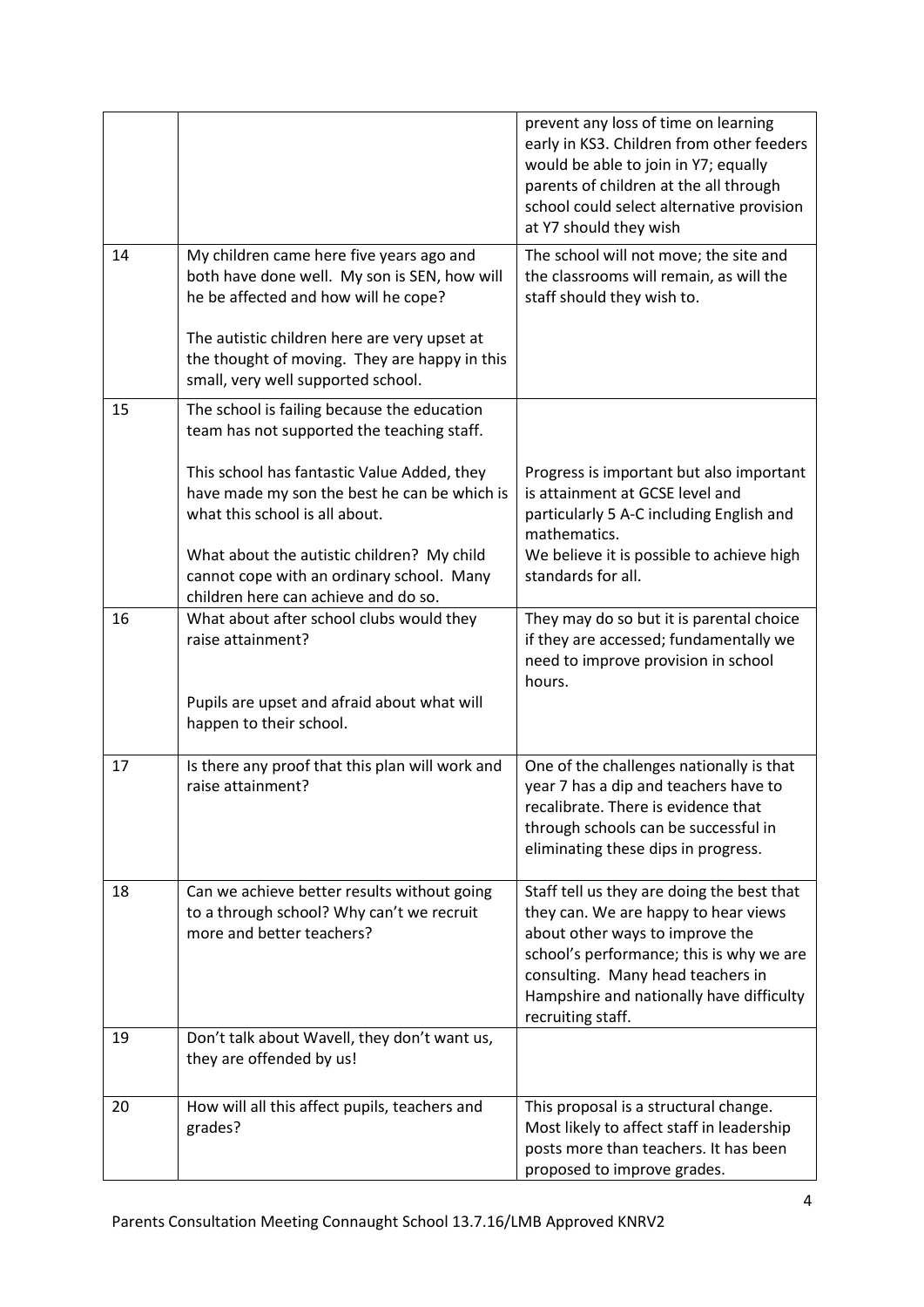|    |                                                                                                                                                                                                                                                                                                                                                               | prevent any loss of time on learning<br>early in KS3. Children from other feeders<br>would be able to join in Y7; equally<br>parents of children at the all through<br>school could select alternative provision<br>at Y7 should they wish                              |
|----|---------------------------------------------------------------------------------------------------------------------------------------------------------------------------------------------------------------------------------------------------------------------------------------------------------------------------------------------------------------|-------------------------------------------------------------------------------------------------------------------------------------------------------------------------------------------------------------------------------------------------------------------------|
| 14 | My children came here five years ago and<br>both have done well. My son is SEN, how will<br>he be affected and how will he cope?<br>The autistic children here are very upset at<br>the thought of moving. They are happy in this<br>small, very well supported school.                                                                                       | The school will not move; the site and<br>the classrooms will remain, as will the<br>staff should they wish to.                                                                                                                                                         |
| 15 | The school is failing because the education<br>team has not supported the teaching staff.<br>This school has fantastic Value Added, they<br>have made my son the best he can be which is<br>what this school is all about.<br>What about the autistic children? My child<br>cannot cope with an ordinary school. Many<br>children here can achieve and do so. | Progress is important but also important<br>is attainment at GCSE level and<br>particularly 5 A-C including English and<br>mathematics.<br>We believe it is possible to achieve high<br>standards for all.                                                              |
| 16 | What about after school clubs would they<br>raise attainment?<br>Pupils are upset and afraid about what will<br>happen to their school.                                                                                                                                                                                                                       | They may do so but it is parental choice<br>if they are accessed; fundamentally we<br>need to improve provision in school<br>hours.                                                                                                                                     |
| 17 | Is there any proof that this plan will work and<br>raise attainment?                                                                                                                                                                                                                                                                                          | One of the challenges nationally is that<br>year 7 has a dip and teachers have to<br>recalibrate. There is evidence that<br>through schools can be successful in<br>eliminating these dips in progress.                                                                 |
| 18 | Can we achieve better results without going<br>to a through school? Why can't we recruit<br>more and better teachers?                                                                                                                                                                                                                                         | Staff tell us they are doing the best that<br>they can. We are happy to hear views<br>about other ways to improve the<br>school's performance; this is why we are<br>consulting. Many head teachers in<br>Hampshire and nationally have difficulty<br>recruiting staff. |
| 19 | Don't talk about Wavell, they don't want us,<br>they are offended by us!                                                                                                                                                                                                                                                                                      |                                                                                                                                                                                                                                                                         |
| 20 | How will all this affect pupils, teachers and<br>grades?                                                                                                                                                                                                                                                                                                      | This proposal is a structural change.<br>Most likely to affect staff in leadership<br>posts more than teachers. It has been<br>proposed to improve grades.                                                                                                              |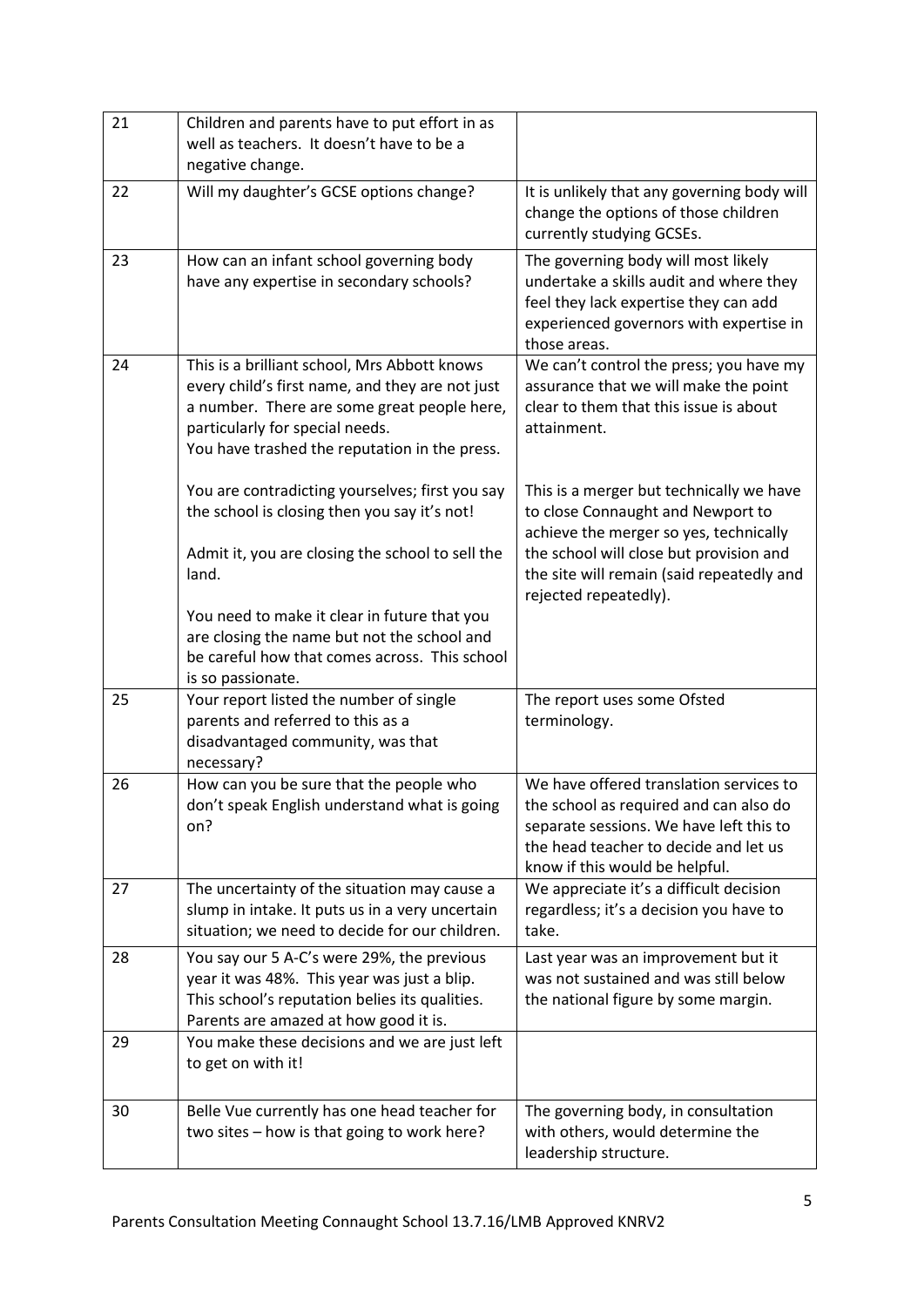| 21 | Children and parents have to put effort in as<br>well as teachers. It doesn't have to be a<br>negative change.                                                                                                                     |                                                                                                                                                                                                                                          |
|----|------------------------------------------------------------------------------------------------------------------------------------------------------------------------------------------------------------------------------------|------------------------------------------------------------------------------------------------------------------------------------------------------------------------------------------------------------------------------------------|
| 22 | Will my daughter's GCSE options change?                                                                                                                                                                                            | It is unlikely that any governing body will<br>change the options of those children<br>currently studying GCSEs.                                                                                                                         |
| 23 | How can an infant school governing body<br>have any expertise in secondary schools?                                                                                                                                                | The governing body will most likely<br>undertake a skills audit and where they<br>feel they lack expertise they can add<br>experienced governors with expertise in<br>those areas.                                                       |
| 24 | This is a brilliant school, Mrs Abbott knows<br>every child's first name, and they are not just<br>a number. There are some great people here,<br>particularly for special needs.<br>You have trashed the reputation in the press. | We can't control the press; you have my<br>assurance that we will make the point<br>clear to them that this issue is about<br>attainment.                                                                                                |
|    | You are contradicting yourselves; first you say<br>the school is closing then you say it's not!<br>Admit it, you are closing the school to sell the<br>land.                                                                       | This is a merger but technically we have<br>to close Connaught and Newport to<br>achieve the merger so yes, technically<br>the school will close but provision and<br>the site will remain (said repeatedly and<br>rejected repeatedly). |
|    | You need to make it clear in future that you<br>are closing the name but not the school and<br>be careful how that comes across. This school<br>is so passionate.                                                                  |                                                                                                                                                                                                                                          |
| 25 | Your report listed the number of single<br>parents and referred to this as a<br>disadvantaged community, was that<br>necessary?                                                                                                    | The report uses some Ofsted<br>terminology.                                                                                                                                                                                              |
| 26 | How can you be sure that the people who<br>don't speak English understand what is going<br>on?                                                                                                                                     | We have offered translation services to<br>the school as required and can also do<br>separate sessions. We have left this to<br>the head teacher to decide and let us<br>know if this would be helpful.                                  |
| 27 | The uncertainty of the situation may cause a<br>slump in intake. It puts us in a very uncertain<br>situation; we need to decide for our children.                                                                                  | We appreciate it's a difficult decision<br>regardless; it's a decision you have to<br>take.                                                                                                                                              |
| 28 | You say our 5 A-C's were 29%, the previous<br>year it was 48%. This year was just a blip.<br>This school's reputation belies its qualities.<br>Parents are amazed at how good it is.                                               | Last year was an improvement but it<br>was not sustained and was still below<br>the national figure by some margin.                                                                                                                      |
| 29 | You make these decisions and we are just left<br>to get on with it!                                                                                                                                                                |                                                                                                                                                                                                                                          |
| 30 | Belle Vue currently has one head teacher for<br>two sites - how is that going to work here?                                                                                                                                        | The governing body, in consultation<br>with others, would determine the<br>leadership structure.                                                                                                                                         |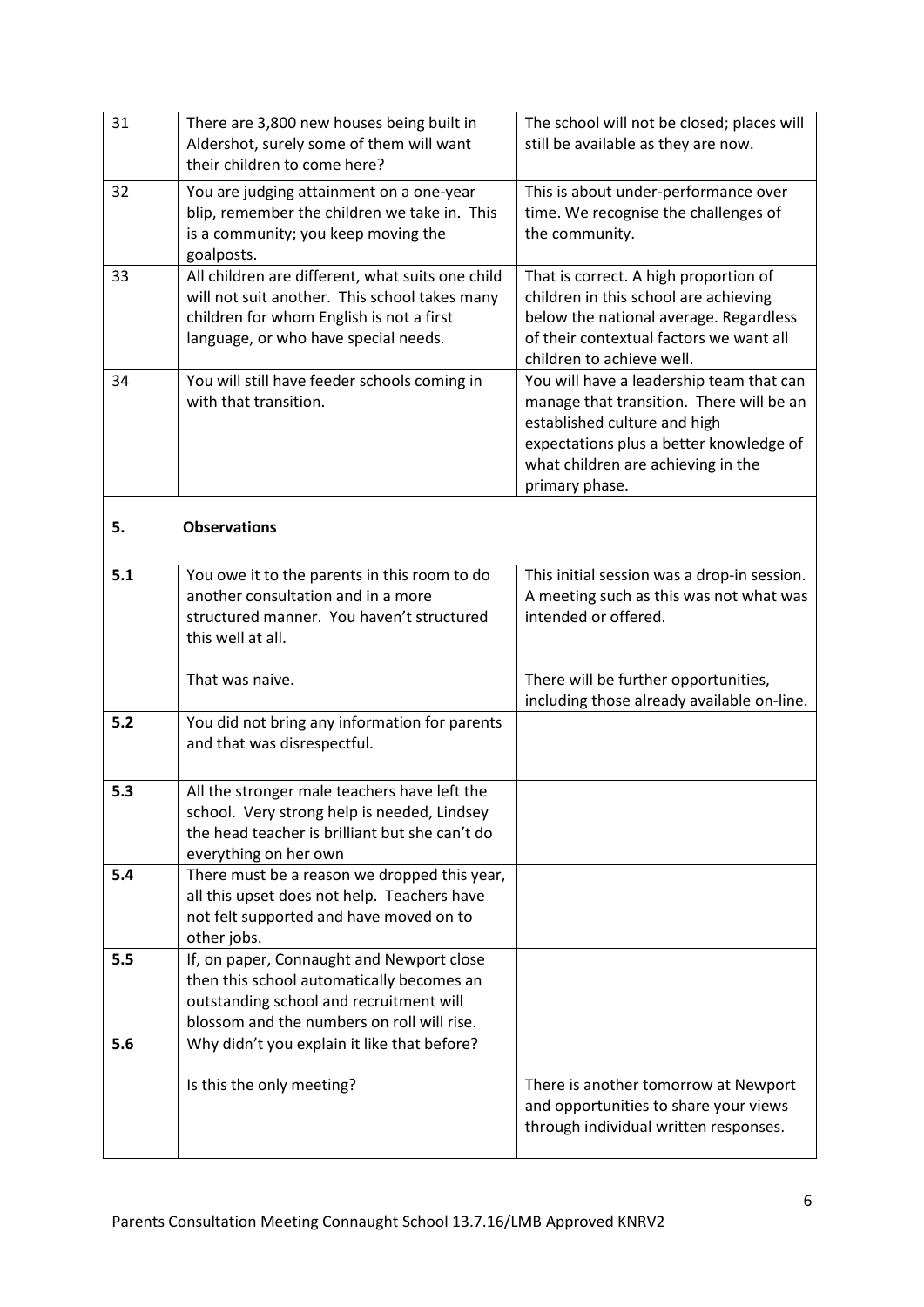| 31  | There are 3,800 new houses being built in<br>Aldershot, surely some of them will want<br>their children to come here?                                                                 | The school will not be closed; places will<br>still be available as they are now.                                                                                                                                       |
|-----|---------------------------------------------------------------------------------------------------------------------------------------------------------------------------------------|-------------------------------------------------------------------------------------------------------------------------------------------------------------------------------------------------------------------------|
| 32  | You are judging attainment on a one-year<br>blip, remember the children we take in. This<br>is a community; you keep moving the<br>goalposts.                                         | This is about under-performance over<br>time. We recognise the challenges of<br>the community.                                                                                                                          |
| 33  | All children are different, what suits one child<br>will not suit another. This school takes many<br>children for whom English is not a first<br>language, or who have special needs. | That is correct. A high proportion of<br>children in this school are achieving<br>below the national average. Regardless<br>of their contextual factors we want all<br>children to achieve well.                        |
| 34  | You will still have feeder schools coming in<br>with that transition.                                                                                                                 | You will have a leadership team that can<br>manage that transition. There will be an<br>established culture and high<br>expectations plus a better knowledge of<br>what children are achieving in the<br>primary phase. |
| 5.  | <b>Observations</b>                                                                                                                                                                   |                                                                                                                                                                                                                         |
| 5.1 | You owe it to the parents in this room to do<br>another consultation and in a more<br>structured manner. You haven't structured<br>this well at all.                                  | This initial session was a drop-in session.<br>A meeting such as this was not what was<br>intended or offered.                                                                                                          |
|     | That was naive.                                                                                                                                                                       | There will be further opportunities,<br>including those already available on-line.                                                                                                                                      |
| 5.2 | You did not bring any information for parents<br>and that was disrespectful.                                                                                                          |                                                                                                                                                                                                                         |
| 5.3 | All the stronger male teachers have left the<br>school. Very strong help is needed, Lindsey<br>the head teacher is brilliant but she can't do<br>everything on her own                |                                                                                                                                                                                                                         |
| 5.4 | There must be a reason we dropped this year,<br>all this upset does not help. Teachers have<br>not felt supported and have moved on to<br>other jobs.                                 |                                                                                                                                                                                                                         |
| 5.5 | If, on paper, Connaught and Newport close<br>then this school automatically becomes an<br>outstanding school and recruitment will<br>blossom and the numbers on roll will rise.       |                                                                                                                                                                                                                         |
| 5.6 | Why didn't you explain it like that before?<br>Is this the only meeting?                                                                                                              | There is another tomorrow at Newport<br>and opportunities to share your views<br>through individual written responses.                                                                                                  |